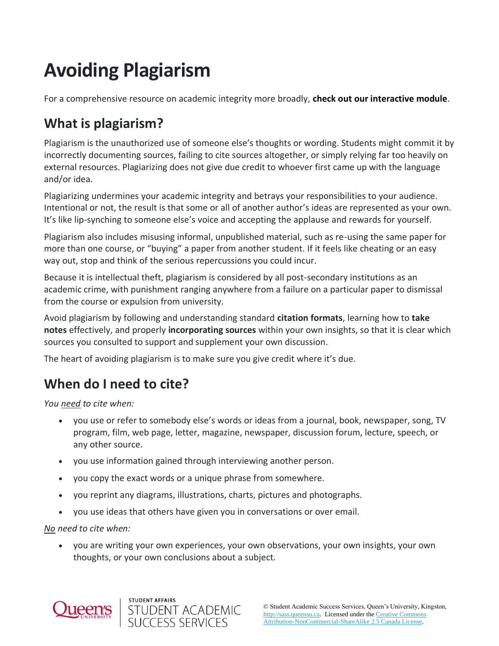# **Avoiding Plagiarism**

For a comprehensive resource on academic integrity more broadly, **check out our interactive module**.

# **What is plagiarism?**

Plagiarism is the unauthorized use of someone else's thoughts or wording. Students might commit it by incorrectly documenting sources, failing to cite sources altogether, or simply relying far too heavily on external resources. Plagiarizing does not give due credit to whoever first came up with the language and/or idea.

Plagiarizing undermines your academic integrity and betrays your responsibilities to your audience. Intentional or not, the result is that some or all of another author's ideas are represented as your own. It's like lip-synching to someone else's voice and accepting the applause and rewards for yourself.

Plagiarism also includes misusing informal, unpublished material, such as re-using the same paper for more than one course, or "buying" a paper from another student. If it feels like cheating or an easy way out, stop and think of the serious repercussions you could incur.

Because it is intellectual theft, plagiarism is considered by all post-secondary institutions as an academic crime, with punishment ranging anywhere from a failure on a particular paper to dismissal from the course or expulsion from university.

Avoid plagiarism by following and understanding standard **citation formats**, learning how to **take notes** effectively, and properly **incorporating sources** within your own insights, so that it is clear which sources you consulted to support and supplement your own discussion.

The heart of avoiding plagiarism is to make sure you give credit where it's due.

# **When do I need to cite?**

*You need to cite when:*

- you use or refer to somebody else's words or ideas from a journal, book, newspaper, song, TV program, film, web page, letter, magazine, newspaper, discussion forum, lecture, speech, or any other source.
- you use information gained through interviewing another person.
- you copy the exact words or a unique phrase from somewhere.

STUDENT ACADEMIC<br>SUCCESS SERVICES

STUDENT AFFAIRS

- you reprint any diagrams, illustrations, charts, pictures and photographs.
- you use ideas that others have given you in conversations or over email.

*No need to cite when:*

• you are writing your own experiences, your own observations, your own insights, your own thoughts, or your own conclusions about a subject.

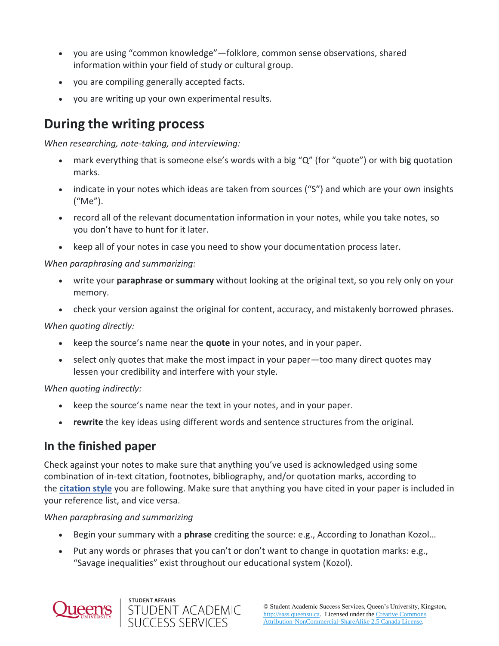- you are using "common knowledge"—folklore, common sense observations, shared information within your field of study or cultural group.
- you are compiling generally accepted facts.
- you are writing up your own experimental results.

## **During the writing process**

*When researching, note-taking, and interviewing:*

- mark everything that is someone else's words with a big "Q" (for "quote") or with big quotation marks.
- indicate in your notes which ideas are taken from sources ("S") and which are your own insights ("Me").
- record all of the relevant documentation information in your notes, while you take notes, so you don't have to hunt for it later.
- keep all of your notes in case you need to show your documentation process later.

#### *When paraphrasing and summarizing:*

- write your **paraphrase or summary** without looking at the original text, so you rely only on your memory.
- check your version against the original for content, accuracy, and mistakenly borrowed phrases.

*When quoting directly:*

- keep the source's name near the **quote** in your notes, and in your paper.
- select only quotes that make the most impact in your paper—too many direct quotes may lessen your credibility and interfere with your style.

*When quoting indirectly:*

- keep the source's name near the text in your notes, and in your paper.
- **rewrite** the key ideas using different words and sentence structures from the original.

### **In the finished paper**

Check against your notes to make sure that anything you've used is acknowledged using some combination of in-text citation, footnotes, bibliography, and/or quotation marks, according to the **[citation style](https://www.library.queensu.ca/help-services/citing-citation-management)** you are following. Make sure that anything you have cited in your paper is included in your reference list, and vice versa.

*When paraphrasing and summarizing*

- Begin your summary with a **phrase** crediting the source: e.g., According to Jonathan Kozol…
- Put any words or phrases that you can't or don't want to change in quotation marks: e.g., "Savage inequalities" exist throughout our educational system (Kozol).



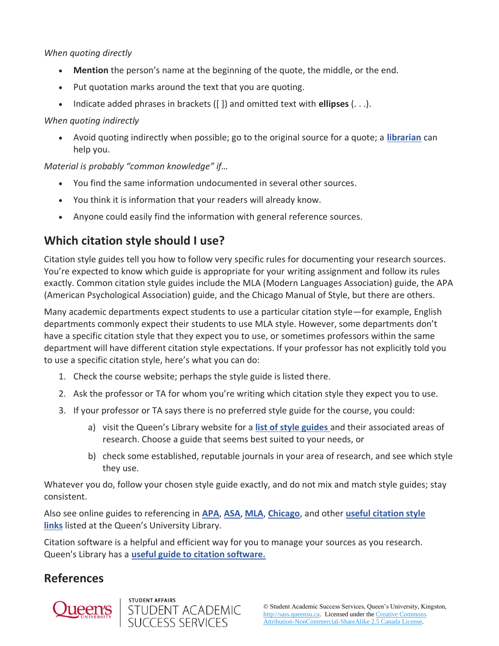#### *When quoting directly*

- **Mention** the person's name at the beginning of the quote, the middle, or the end.
- Put quotation marks around the text that you are quoting.
- Indicate added phrases in brackets ([ ]) and omitted text with **ellipses** (. . .).

#### *When quoting indirectly*

• Avoid quoting indirectly when possible; go to the original source for a quote; a **[librarian](https://www.library.queensu.ca/search/omni)** can help you.

*Material is probably "common knowledge" if…*

- You find the same information undocumented in several other sources.
- You think it is information that your readers will already know.
- Anyone could easily find the information with general reference sources.

## **Which citation style should I use?**

Citation style guides tell you how to follow very specific rules for documenting your research sources. You're expected to know which guide is appropriate for your writing assignment and follow its rules exactly. Common citation style guides include the MLA (Modern Languages Association) guide, the APA (American Psychological Association) guide, and the Chicago Manual of Style, but there are others.

Many academic departments expect students to use a particular citation style—for example, English departments commonly expect their students to use MLA style. However, some departments don't have a specific citation style that they expect you to use, or sometimes professors within the same department will have different citation style expectations. If your professor has not explicitly told you to use a specific citation style, here's what you can do:

- 1. Check the course website; perhaps the style guide is listed there.
- 2. Ask the professor or TA for whom you're writing which citation style they expect you to use.
- 3. If your professor or TA says there is no preferred style guide for the course, you could:
	- a) visit the Queen's Library website for a **[list of style guides](http://library.queensu.ca/help-services/citing-sources)** and their associated areas of research. Choose a guide that seems best suited to your needs, or
	- b) check some established, reputable journals in your area of research, and see which style they use.

Whatever you do, follow your chosen style guide exactly, and do not mix and match style guides; stay consistent.

Also see online guides to referencing in **[APA](https://www.apastyle.org/)**, **[ASA](http://www.asanet.org/sites/default/files/savvy/documents/teaching/pdfs/Quick_Tips_for_ASA_Style.pdf)**, **[MLA](https://www.mla.org/MLA-Style)**, **[Chicago](https://www.chicagomanualofstyle.org/home.html)**, and other **[useful citation style](https://www.library.queensu.ca/help-services/citing-sources)  [links](https://www.library.queensu.ca/help-services/citing-sources)** listed at the Queen's University Library.

Citation software is a helpful and efficient way for you to manage your sources as you research. Queen's Library has a **[useful guide to citation software.](http://guides.library.queensu.ca/citing-and-citation-managers/citation-managers.)**

## **References**